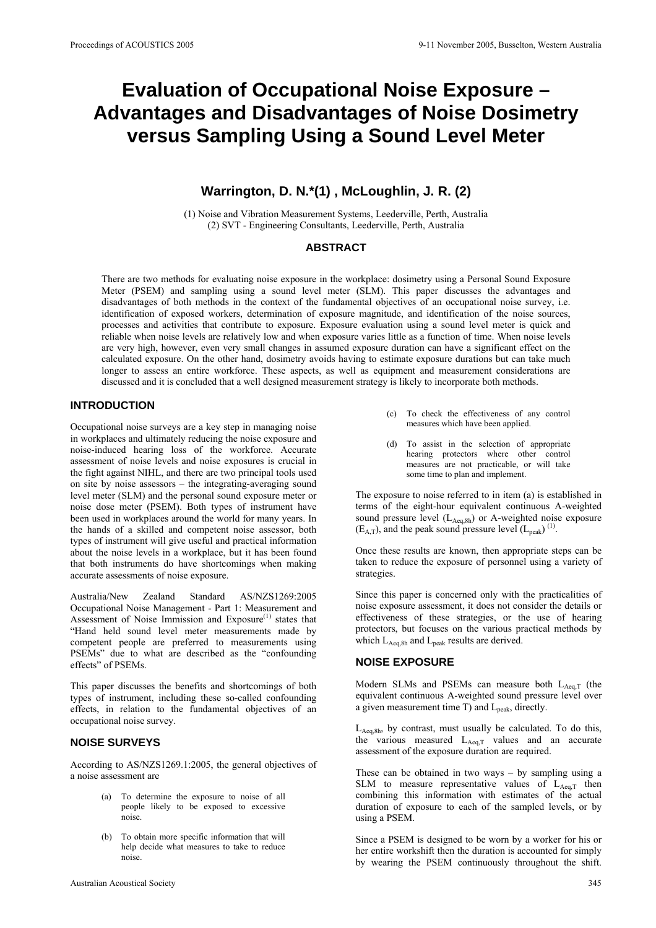# **Evaluation of Occupational Noise Exposure – Advantages and Disadvantages of Noise Dosimetry versus Sampling Using a Sound Level Meter**

## **Warrington, D. N.\*(1) , McLoughlin, J. R. (2)**

(1) Noise and Vibration Measurement Systems, Leederville, Perth, Australia (2) SVT - Engineering Consultants, Leederville, Perth, Australia

## **ABSTRACT**

There are two methods for evaluating noise exposure in the workplace: dosimetry using a Personal Sound Exposure Meter (PSEM) and sampling using a sound level meter (SLM). This paper discusses the advantages and disadvantages of both methods in the context of the fundamental objectives of an occupational noise survey, i.e. identification of exposed workers, determination of exposure magnitude, and identification of the noise sources, processes and activities that contribute to exposure. Exposure evaluation using a sound level meter is quick and reliable when noise levels are relatively low and when exposure varies little as a function of time. When noise levels are very high, however, even very small changes in assumed exposure duration can have a significant effect on the calculated exposure. On the other hand, dosimetry avoids having to estimate exposure durations but can take much longer to assess an entire workforce. These aspects, as well as equipment and measurement considerations are discussed and it is concluded that a well designed measurement strategy is likely to incorporate both methods.

## **INTRODUCTION**

Occupational noise surveys are a key step in managing noise in workplaces and ultimately reducing the noise exposure and noise-induced hearing loss of the workforce. Accurate assessment of noise levels and noise exposures is crucial in the fight against NIHL, and there are two principal tools used on site by noise assessors – the integrating-averaging sound level meter (SLM) and the personal sound exposure meter or noise dose meter (PSEM). Both types of instrument have been used in workplaces around the world for many years. In the hands of a skilled and competent noise assessor, both types of instrument will give useful and practical information about the noise levels in a workplace, but it has been found that both instruments do have shortcomings when making accurate assessments of noise exposure.

Australia/New Zealand Standard AS/NZS1269:2005 Occupational Noise Management - Part 1: Measurement and Assessment of Noise Immission and Exposure<sup>(1)</sup> states that "Hand held sound level meter measurements made by competent people are preferred to measurements using PSEMs" due to what are described as the "confounding effects" of PSEMs.

This paper discusses the benefits and shortcomings of both types of instrument, including these so-called confounding effects, in relation to the fundamental objectives of an occupational noise survey.

## **NOISE SURVEYS**

According to AS/NZS1269.1:2005, the general objectives of a noise assessment are

- (a) To determine the exposure to noise of all people likely to be exposed to excessive noise.
- (b) To obtain more specific information that will help decide what measures to take to reduce noise.
- (c) To check the effectiveness of any control measures which have been applied.
- (d) To assist in the selection of appropriate hearing protectors where other control measures are not practicable, or will take some time to plan and implement.

The exposure to noise referred to in item (a) is established in terms of the eight-hour equivalent continuous A-weighted sound pressure level  $(L_{Aeq,8h})$  or A-weighted noise exposure  $(E_{A,T})$ , and the peak sound pressure level  $(L_{peak})$ <sup>(1)</sup>.

Once these results are known, then appropriate steps can be taken to reduce the exposure of personnel using a variety of strategies.

Since this paper is concerned only with the practicalities of noise exposure assessment, it does not consider the details or effectiveness of these strategies, or the use of hearing protectors, but focuses on the various practical methods by which  $L_{Aeq,8h}$  and  $L_{peak}$  results are derived.

## **NOISE EXPOSURE**

Modern SLMs and PSEMs can measure both  $L_{Aeq,T}$  (the equivalent continuous A-weighted sound pressure level over a given measurement time  $T$ ) and  $L_{peak}$ , directly.

 $L_{\text{Aea,8h}}$ , by contrast, must usually be calculated. To do this, the various measured  $L_{Aeq,T}$  values and an accurate assessment of the exposure duration are required.

These can be obtained in two ways  $-$  by sampling using a SLM to measure representative values of  $L_{Aeq,T}$  then combining this information with estimates of the actual duration of exposure to each of the sampled levels, or by using a PSEM.

Since a PSEM is designed to be worn by a worker for his or her entire workshift then the duration is accounted for simply by wearing the PSEM continuously throughout the shift.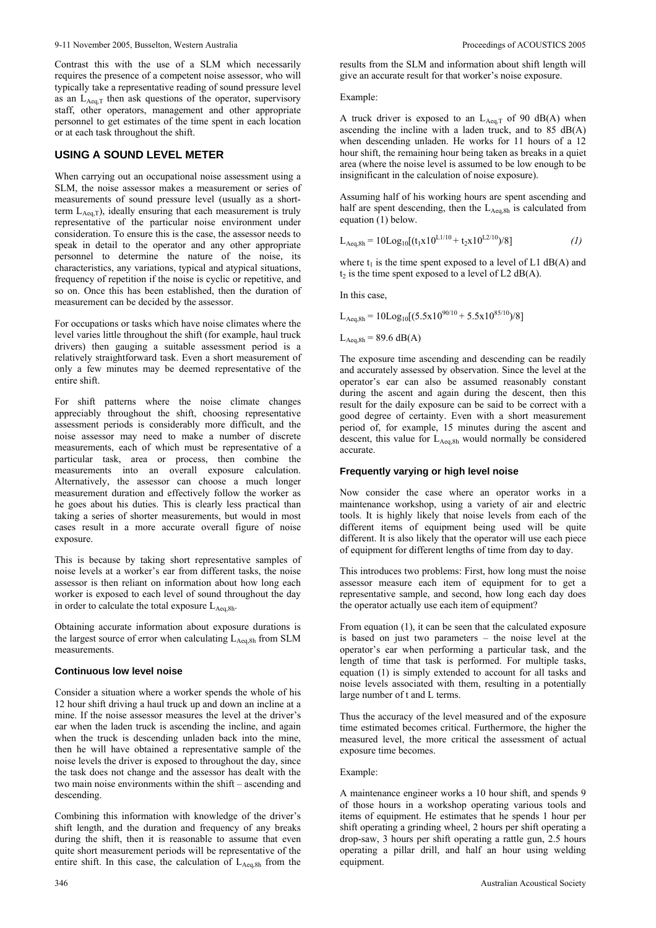Contrast this with the use of a SLM which necessarily requires the presence of a competent noise assessor, who will typically take a representative reading of sound pressure level as an  $L_{Aeq,T}$  then ask questions of the operator, supervisory staff, other operators, management and other appropriate personnel to get estimates of the time spent in each location or at each task throughout the shift.

## **USING A SOUND LEVEL METER**

When carrying out an occupational noise assessment using a SLM, the noise assessor makes a measurement or series of measurements of sound pressure level (usually as a shortterm  $L_{Aeq,T}$ ), ideally ensuring that each measurement is truly representative of the particular noise environment under consideration. To ensure this is the case, the assessor needs to speak in detail to the operator and any other appropriate personnel to determine the nature of the noise, its characteristics, any variations, typical and atypical situations, frequency of repetition if the noise is cyclic or repetitive, and so on. Once this has been established, then the duration of measurement can be decided by the assessor.

For occupations or tasks which have noise climates where the level varies little throughout the shift (for example, haul truck drivers) then gauging a suitable assessment period is a relatively straightforward task. Even a short measurement of only a few minutes may be deemed representative of the entire shift.

For shift patterns where the noise climate changes appreciably throughout the shift, choosing representative assessment periods is considerably more difficult, and the noise assessor may need to make a number of discrete measurements, each of which must be representative of a particular task, area or process, then combine the measurements into an overall exposure calculation. Alternatively, the assessor can choose a much longer measurement duration and effectively follow the worker as he goes about his duties. This is clearly less practical than taking a series of shorter measurements, but would in most cases result in a more accurate overall figure of noise exposure.

This is because by taking short representative samples of noise levels at a worker's ear from different tasks, the noise assessor is then reliant on information about how long each worker is exposed to each level of sound throughout the day in order to calculate the total exposure  $L_{\text{Aea 8h}}$ .

Obtaining accurate information about exposure durations is the largest source of error when calculating  $L_{Aeq,8h}$  from SLM measurements.

#### **Continuous low level noise**

Consider a situation where a worker spends the whole of his 12 hour shift driving a haul truck up and down an incline at a mine. If the noise assessor measures the level at the driver's ear when the laden truck is ascending the incline, and again when the truck is descending unladen back into the mine, then he will have obtained a representative sample of the noise levels the driver is exposed to throughout the day, since the task does not change and the assessor has dealt with the two main noise environments within the shift – ascending and descending.

Combining this information with knowledge of the driver's shift length, and the duration and frequency of any breaks during the shift, then it is reasonable to assume that even quite short measurement periods will be representative of the entire shift. In this case, the calculation of  $L_{Aeq,8h}$  from the

results from the SLM and information about shift length will give an accurate result for that worker's noise exposure.

Example:

A truck driver is exposed to an  $L_{Aeq,T}$  of 90 dB(A) when ascending the incline with a laden truck, and to 85 dB(A) when descending unladen. He works for 11 hours of a 12 hour shift, the remaining hour being taken as breaks in a quiet area (where the noise level is assumed to be low enough to be insignificant in the calculation of noise exposure).

Assuming half of his working hours are spent ascending and half are spent descending, then the  $L_{Aeq,8h}$  is calculated from equation (1) below.

$$
L_{Aeq,8h} = 10Log_{10}[(t_1x10^{L1/10} + t_2x10^{L2/10})/8]
$$
 (1)

where  $t_1$  is the time spent exposed to a level of L1 dB(A) and  $t_2$  is the time spent exposed to a level of L2 dB(A).

In this case,

$$
L_{\text{Aeq,8h}} = 10\text{Log}_{10}[(5.5 \times 10^{90/10} + 5.5 \times 10^{85/10})/8]
$$

$$
L_{Aeq,8h} = 89.6 \text{ dB}(A)
$$

The exposure time ascending and descending can be readily and accurately assessed by observation. Since the level at the operator's ear can also be assumed reasonably constant during the ascent and again during the descent, then this result for the daily exposure can be said to be correct with a good degree of certainty. Even with a short measurement period of, for example, 15 minutes during the ascent and descent, this value for  $L_{Aeq,8h}$  would normally be considered accurate.

#### **Frequently varying or high level noise**

Now consider the case where an operator works in a maintenance workshop, using a variety of air and electric tools. It is highly likely that noise levels from each of the different items of equipment being used will be quite different. It is also likely that the operator will use each piece of equipment for different lengths of time from day to day.

This introduces two problems: First, how long must the noise assessor measure each item of equipment for to get a representative sample, and second, how long each day does the operator actually use each item of equipment?

From equation (1), it can be seen that the calculated exposure is based on just two parameters – the noise level at the operator's ear when performing a particular task, and the length of time that task is performed. For multiple tasks, equation (1) is simply extended to account for all tasks and noise levels associated with them, resulting in a potentially large number of t and L terms.

Thus the accuracy of the level measured and of the exposure time estimated becomes critical. Furthermore, the higher the measured level, the more critical the assessment of actual exposure time becomes.

#### Example:

A maintenance engineer works a 10 hour shift, and spends 9 of those hours in a workshop operating various tools and items of equipment. He estimates that he spends 1 hour per shift operating a grinding wheel, 2 hours per shift operating a drop-saw, 3 hours per shift operating a rattle gun, 2.5 hours operating a pillar drill, and half an hour using welding equipment.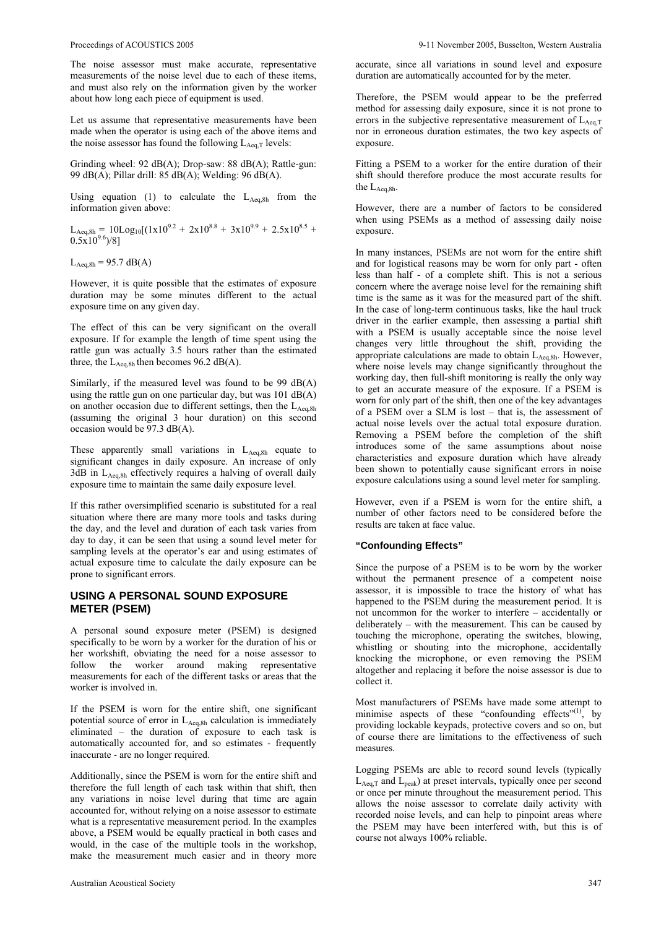The noise assessor must make accurate, representative measurements of the noise level due to each of these items, and must also rely on the information given by the worker about how long each piece of equipment is used.

Let us assume that representative measurements have been made when the operator is using each of the above items and the noise assessor has found the following  $L_{Aea,T}$  levels:

Grinding wheel: 92 dB(A); Drop-saw: 88 dB(A); Rattle-gun: 99 dB(A); Pillar drill: 85 dB(A); Welding: 96 dB(A).

Using equation (1) to calculate the  $L_{Aeq,8h}$  from the information given above:

 $L_{\text{Aeq,8h}} = 10 \text{Log}_{10}[(1 \text{x} 10^{9.2} + 2 \text{x} 10^{8.8} + 3 \text{x} 10^{9.9} + 2.5 \text{x} 10^{8.5} +$  $0.5x10^{9.6}$  $/8$ ]

 $L_{Aeq,8h} = 95.7 \text{ dB}(A)$ 

However, it is quite possible that the estimates of exposure duration may be some minutes different to the actual exposure time on any given day.

The effect of this can be very significant on the overall exposure. If for example the length of time spent using the rattle gun was actually 3.5 hours rather than the estimated three, the  $L_{Aeq,8h}$  then becomes 96.2 dB(A).

Similarly, if the measured level was found to be 99 dB(A) using the rattle gun on one particular day, but was 101 dB(A) on another occasion due to different settings, then the  $L_{\text{Aea,8h}}$ (assuming the original 3 hour duration) on this second occasion would be 97.3 dB(A).

These apparently small variations in  $L_{Aeq,8h}$  equate to significant changes in daily exposure. An increase of only  $3dB$  in  $L_{Aea,8h}$  effectively requires a halving of overall daily exposure time to maintain the same daily exposure level.

If this rather oversimplified scenario is substituted for a real situation where there are many more tools and tasks during the day, and the level and duration of each task varies from day to day, it can be seen that using a sound level meter for sampling levels at the operator's ear and using estimates of actual exposure time to calculate the daily exposure can be prone to significant errors.

## **USING A PERSONAL SOUND EXPOSURE METER (PSEM)**

A personal sound exposure meter (PSEM) is designed specifically to be worn by a worker for the duration of his or her workshift, obviating the need for a noise assessor to follow the worker around making representative measurements for each of the different tasks or areas that the worker is involved in.

If the PSEM is worn for the entire shift, one significant potential source of error in L<sub>Aeq,8h</sub> calculation is immediately eliminated – the duration of exposure to each task is automatically accounted for, and so estimates - frequently inaccurate - are no longer required.

Additionally, since the PSEM is worn for the entire shift and therefore the full length of each task within that shift, then any variations in noise level during that time are again accounted for, without relying on a noise assessor to estimate what is a representative measurement period. In the examples above, a PSEM would be equally practical in both cases and would, in the case of the multiple tools in the workshop, make the measurement much easier and in theory more

accurate, since all variations in sound level and exposure duration are automatically accounted for by the meter.

Therefore, the PSEM would appear to be the preferred method for assessing daily exposure, since it is not prone to errors in the subjective representative measurement of LAeq,T nor in erroneous duration estimates, the two key aspects of exposure.

Fitting a PSEM to a worker for the entire duration of their shift should therefore produce the most accurate results for the L<sub>Aeq,8h</sub>.

However, there are a number of factors to be considered when using PSEMs as a method of assessing daily noise exposure.

In many instances, PSEMs are not worn for the entire shift and for logistical reasons may be worn for only part - often less than half - of a complete shift. This is not a serious concern where the average noise level for the remaining shift time is the same as it was for the measured part of the shift. In the case of long-term continuous tasks, like the haul truck driver in the earlier example, then assessing a partial shift with a PSEM is usually acceptable since the noise level changes very little throughout the shift, providing the appropriate calculations are made to obtain  $L_{Aeq,8h}$ . However, where noise levels may change significantly throughout the working day, then full-shift monitoring is really the only way to get an accurate measure of the exposure. If a PSEM is worn for only part of the shift, then one of the key advantages of a PSEM over a SLM is lost – that is, the assessment of actual noise levels over the actual total exposure duration. Removing a PSEM before the completion of the shift introduces some of the same assumptions about noise characteristics and exposure duration which have already been shown to potentially cause significant errors in noise exposure calculations using a sound level meter for sampling.

However, even if a PSEM is worn for the entire shift, a number of other factors need to be considered before the results are taken at face value.

#### **"Confounding Effects"**

Since the purpose of a PSEM is to be worn by the worker without the permanent presence of a competent noise assessor, it is impossible to trace the history of what has happened to the PSEM during the measurement period. It is not uncommon for the worker to interfere – accidentally or deliberately – with the measurement. This can be caused by touching the microphone, operating the switches, blowing, whistling or shouting into the microphone, accidentally knocking the microphone, or even removing the PSEM altogether and replacing it before the noise assessor is due to collect it.

Most manufacturers of PSEMs have made some attempt to minimise aspects of these "confounding effects" $(1)$ , by providing lockable keypads, protective covers and so on, but of course there are limitations to the effectiveness of such measures.

Logging PSEMs are able to record sound levels (typically  $L_{Aeq,T}$  and  $L_{peak}$ ) at preset intervals, typically once per second or once per minute throughout the measurement period. This allows the noise assessor to correlate daily activity with recorded noise levels, and can help to pinpoint areas where the PSEM may have been interfered with, but this is of course not always 100% reliable.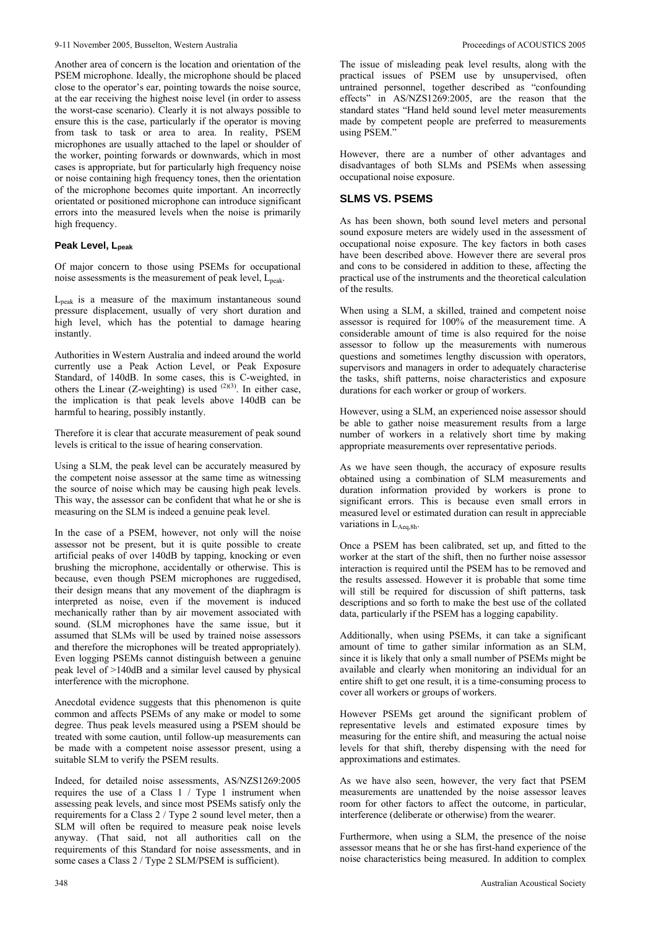Another area of concern is the location and orientation of the PSEM microphone. Ideally, the microphone should be placed close to the operator's ear, pointing towards the noise source, at the ear receiving the highest noise level (in order to assess the worst-case scenario). Clearly it is not always possible to ensure this is the case, particularly if the operator is moving from task to task or area to area. In reality, PSEM microphones are usually attached to the lapel or shoulder of the worker, pointing forwards or downwards, which in most cases is appropriate, but for particularly high frequency noise or noise containing high frequency tones, then the orientation of the microphone becomes quite important. An incorrectly orientated or positioned microphone can introduce significant errors into the measured levels when the noise is primarily high frequency.

## **Peak Level, Lpeak**

Of major concern to those using PSEMs for occupational noise assessments is the measurement of peak level, L<sub>peak</sub>.

 $L_{\text{peak}}$  is a measure of the maximum instantaneous sound pressure displacement, usually of very short duration and high level, which has the potential to damage hearing instantly.

Authorities in Western Australia and indeed around the world currently use a Peak Action Level, or Peak Exposure Standard, of 140dB. In some cases, this is C-weighted, in others the Linear (Z-weighting) is used  $(2)(3)$ . In either case, the implication is that peak levels above 140dB can be harmful to hearing, possibly instantly.

Therefore it is clear that accurate measurement of peak sound levels is critical to the issue of hearing conservation.

Using a SLM, the peak level can be accurately measured by the competent noise assessor at the same time as witnessing the source of noise which may be causing high peak levels. This way, the assessor can be confident that what he or she is measuring on the SLM is indeed a genuine peak level.

In the case of a PSEM, however, not only will the noise assessor not be present, but it is quite possible to create artificial peaks of over 140dB by tapping, knocking or even brushing the microphone, accidentally or otherwise. This is because, even though PSEM microphones are ruggedised, their design means that any movement of the diaphragm is interpreted as noise, even if the movement is induced mechanically rather than by air movement associated with sound. (SLM microphones have the same issue, but it assumed that SLMs will be used by trained noise assessors and therefore the microphones will be treated appropriately). Even logging PSEMs cannot distinguish between a genuine peak level of >140dB and a similar level caused by physical interference with the microphone.

Anecdotal evidence suggests that this phenomenon is quite common and affects PSEMs of any make or model to some degree. Thus peak levels measured using a PSEM should be treated with some caution, until follow-up measurements can be made with a competent noise assessor present, using a suitable SLM to verify the PSEM results.

Indeed, for detailed noise assessments, AS/NZS1269:2005 requires the use of a Class 1 / Type 1 instrument when assessing peak levels, and since most PSEMs satisfy only the requirements for a Class 2 / Type 2 sound level meter, then a SLM will often be required to measure peak noise levels anyway. (That said, not all authorities call on the requirements of this Standard for noise assessments, and in some cases a Class 2 / Type 2 SLM/PSEM is sufficient).

The issue of misleading peak level results, along with the practical issues of PSEM use by unsupervised, often untrained personnel, together described as "confounding effects" in AS/NZS1269:2005, are the reason that the standard states "Hand held sound level meter measurements made by competent people are preferred to measurements using PSEM."

However, there are a number of other advantages and disadvantages of both SLMs and PSEMs when assessing occupational noise exposure.

## **SLMS VS. PSEMS**

As has been shown, both sound level meters and personal sound exposure meters are widely used in the assessment of occupational noise exposure. The key factors in both cases have been described above. However there are several pros and cons to be considered in addition to these, affecting the practical use of the instruments and the theoretical calculation of the results.

When using a SLM, a skilled, trained and competent noise assessor is required for 100% of the measurement time. A considerable amount of time is also required for the noise assessor to follow up the measurements with numerous questions and sometimes lengthy discussion with operators, supervisors and managers in order to adequately characterise the tasks, shift patterns, noise characteristics and exposure durations for each worker or group of workers.

However, using a SLM, an experienced noise assessor should be able to gather noise measurement results from a large number of workers in a relatively short time by making appropriate measurements over representative periods.

As we have seen though, the accuracy of exposure results obtained using a combination of SLM measurements and duration information provided by workers is prone to significant errors. This is because even small errors in measured level or estimated duration can result in appreciable variations in  $L_{Aea,8h}$ .

Once a PSEM has been calibrated, set up, and fitted to the worker at the start of the shift, then no further noise assessor interaction is required until the PSEM has to be removed and the results assessed. However it is probable that some time will still be required for discussion of shift patterns, task descriptions and so forth to make the best use of the collated data, particularly if the PSEM has a logging capability.

Additionally, when using PSEMs, it can take a significant amount of time to gather similar information as an SLM, since it is likely that only a small number of PSEMs might be available and clearly when monitoring an individual for an entire shift to get one result, it is a time-consuming process to cover all workers or groups of workers.

However PSEMs get around the significant problem of representative levels and estimated exposure times by measuring for the entire shift, and measuring the actual noise levels for that shift, thereby dispensing with the need for approximations and estimates.

As we have also seen, however, the very fact that PSEM measurements are unattended by the noise assessor leaves room for other factors to affect the outcome, in particular, interference (deliberate or otherwise) from the wearer.

Furthermore, when using a SLM, the presence of the noise assessor means that he or she has first-hand experience of the noise characteristics being measured. In addition to complex